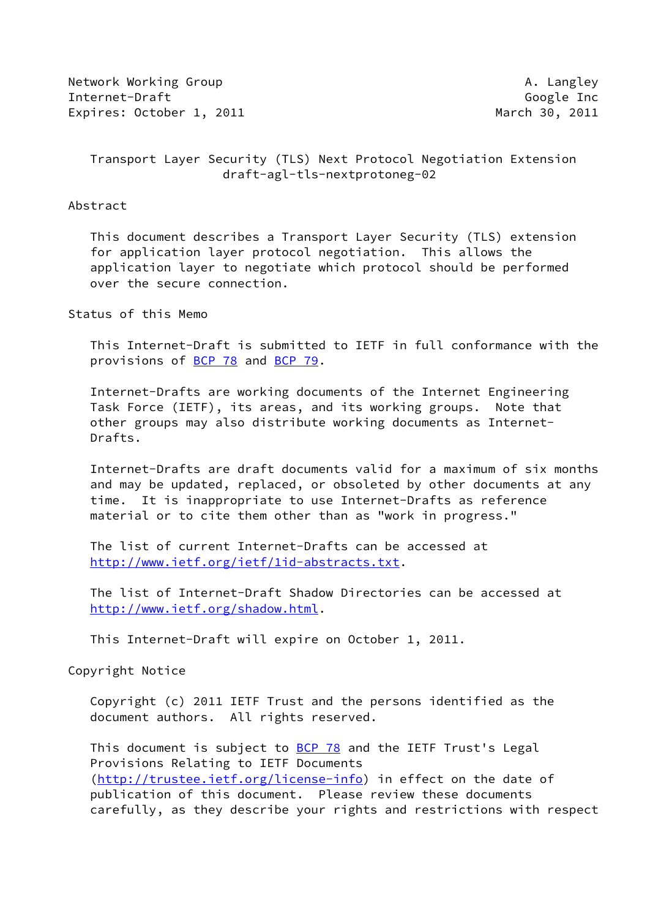Network Working Group **A. Langley** Internet-Draft Google Inc Expires: October 1, 2011 March 30, 2011

 Transport Layer Security (TLS) Next Protocol Negotiation Extension draft-agl-tls-nextprotoneg-02

#### Abstract

 This document describes a Transport Layer Security (TLS) extension for application layer protocol negotiation. This allows the application layer to negotiate which protocol should be performed over the secure connection.

Status of this Memo

 This Internet-Draft is submitted to IETF in full conformance with the provisions of [BCP 78](https://datatracker.ietf.org/doc/pdf/bcp78) and [BCP 79](https://datatracker.ietf.org/doc/pdf/bcp79).

 Internet-Drafts are working documents of the Internet Engineering Task Force (IETF), its areas, and its working groups. Note that other groups may also distribute working documents as Internet- Drafts.

 Internet-Drafts are draft documents valid for a maximum of six months and may be updated, replaced, or obsoleted by other documents at any time. It is inappropriate to use Internet-Drafts as reference material or to cite them other than as "work in progress."

 The list of current Internet-Drafts can be accessed at <http://www.ietf.org/ietf/1id-abstracts.txt>.

 The list of Internet-Draft Shadow Directories can be accessed at <http://www.ietf.org/shadow.html>.

This Internet-Draft will expire on October 1, 2011.

Copyright Notice

 Copyright (c) 2011 IETF Trust and the persons identified as the document authors. All rights reserved.

This document is subject to **[BCP 78](https://datatracker.ietf.org/doc/pdf/bcp78)** and the IETF Trust's Legal Provisions Relating to IETF Documents [\(http://trustee.ietf.org/license-info](http://trustee.ietf.org/license-info)) in effect on the date of publication of this document. Please review these documents carefully, as they describe your rights and restrictions with respect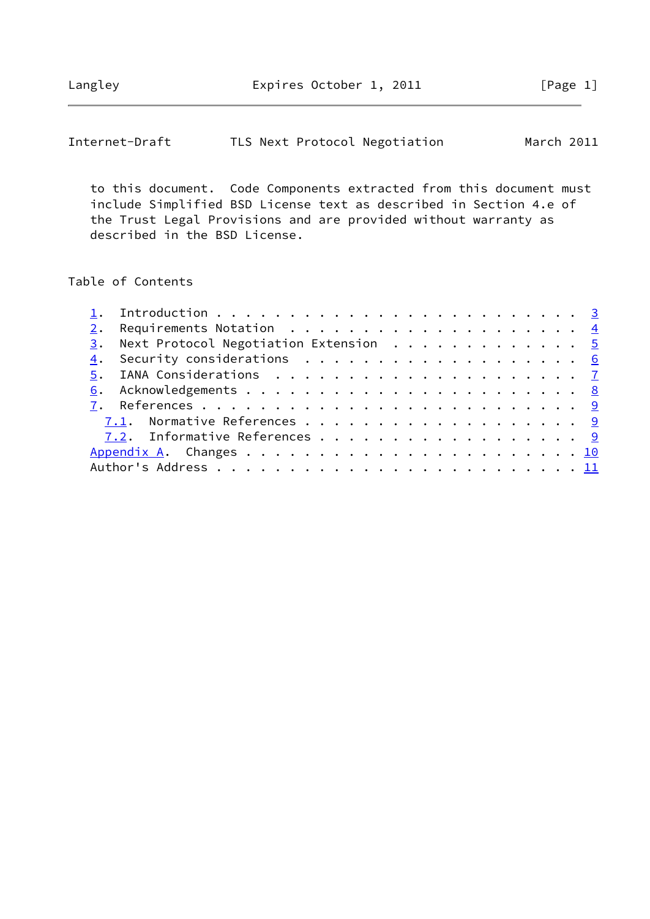Langley **Expires October 1, 2011** [Page 1]

| Internet-Draft | TLS Next Protocol Negotiation | March 2011 |
|----------------|-------------------------------|------------|
|----------------|-------------------------------|------------|

 to this document. Code Components extracted from this document must include Simplified BSD License text as described in Section 4.e of the Trust Legal Provisions and are provided without warranty as described in the BSD License.

## Table of Contents

|  |  |  |  |  |  | 3. Next Protocol Negotiation Extension 5<br>4. Security considerations 6<br>7.1. Normative References 9<br>7.2. Informative References 9 |
|--|--|--|--|--|--|------------------------------------------------------------------------------------------------------------------------------------------|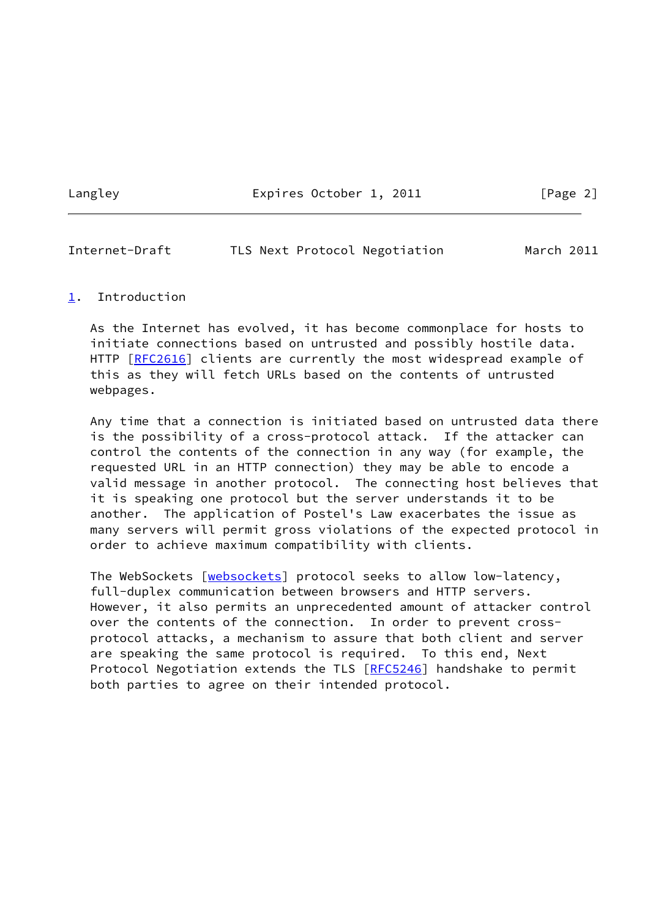Langley **Expires October 1, 2011** [Page 2]

<span id="page-2-1"></span>Internet-Draft TLS Next Protocol Negotiation March 2011

#### <span id="page-2-0"></span>[1](#page-2-0). Introduction

 As the Internet has evolved, it has become commonplace for hosts to initiate connections based on untrusted and possibly hostile data. HTTP [\[RFC2616](https://datatracker.ietf.org/doc/pdf/rfc2616)] clients are currently the most widespread example of this as they will fetch URLs based on the contents of untrusted webpages.

 Any time that a connection is initiated based on untrusted data there is the possibility of a cross-protocol attack. If the attacker can control the contents of the connection in any way (for example, the requested URL in an HTTP connection) they may be able to encode a valid message in another protocol. The connecting host believes that it is speaking one protocol but the server understands it to be another. The application of Postel's Law exacerbates the issue as many servers will permit gross violations of the expected protocol in order to achieve maximum compatibility with clients.

The WebSockets [\[websockets](#page-9-4)] protocol seeks to allow low-latency, full-duplex communication between browsers and HTTP servers. However, it also permits an unprecedented amount of attacker control over the contents of the connection. In order to prevent cross protocol attacks, a mechanism to assure that both client and server are speaking the same protocol is required. To this end, Next Protocol Negotiation extends the TLS [\[RFC5246](https://datatracker.ietf.org/doc/pdf/rfc5246)] handshake to permit both parties to agree on their intended protocol.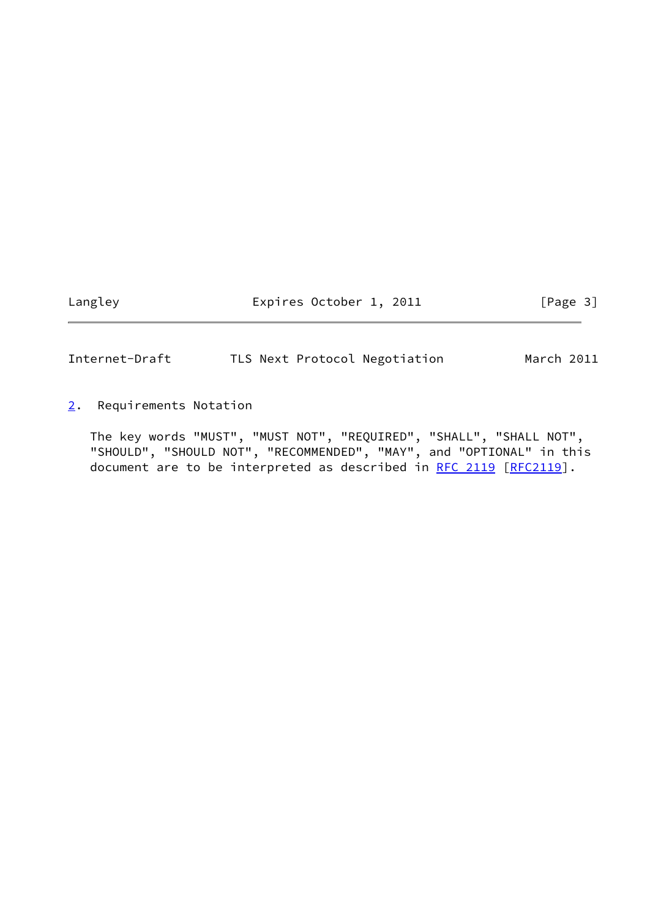Langley **Expires October 1, 2011** [Page 3]

<span id="page-3-1"></span>Internet-Draft TLS Next Protocol Negotiation March 2011

<span id="page-3-0"></span>[2](#page-3-0). Requirements Notation

 The key words "MUST", "MUST NOT", "REQUIRED", "SHALL", "SHALL NOT", "SHOULD", "SHOULD NOT", "RECOMMENDED", "MAY", and "OPTIONAL" in this document are to be interpreted as described in [RFC 2119 \[RFC2119](https://datatracker.ietf.org/doc/pdf/rfc2119)].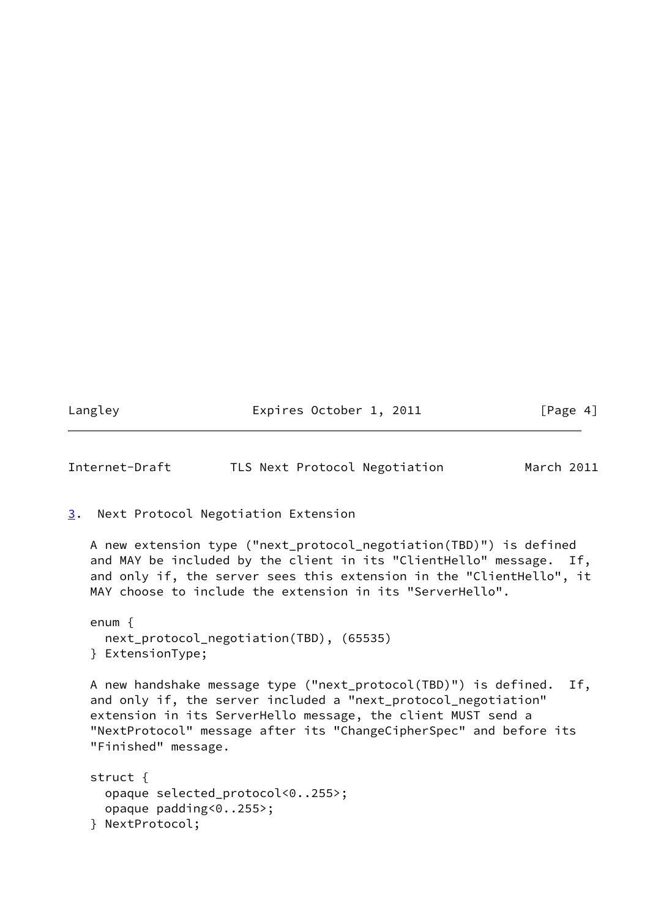Langley **Expires October 1, 2011** [Page 4]

<span id="page-4-1"></span>Internet-Draft TLS Next Protocol Negotiation March 2011

```
3. Next Protocol Negotiation Extension
A new extension type ("next_protocol_negotiation(TBD)") is defined
 and MAY be included by the client in its "ClientHello" message. If,
 and only if, the server sees this extension in the "ClientHello", it
 MAY choose to include the extension in its "ServerHello".
enum {
   next_protocol_negotiation(TBD), (65535)
 } ExtensionType;
 A new handshake message type ("next_protocol(TBD)") is defined. If,
 and only if, the server included a "next_protocol_negotiation"
 extension in its ServerHello message, the client MUST send a
 "NextProtocol" message after its "ChangeCipherSpec" and before its
 "Finished" message.
 struct {
   opaque selected_protocol<0..255>;
   opaque padding<0..255>;
```

```
 } NextProtocol;
```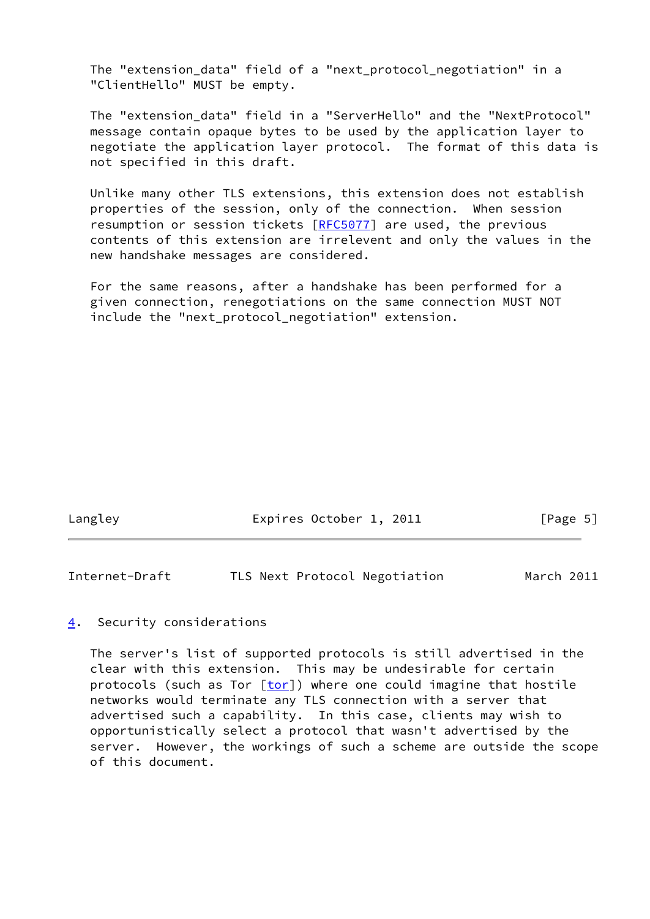The "extension\_data" field of a "next\_protocol\_negotiation" in a "ClientHello" MUST be empty.

The "extension data" field in a "ServerHello" and the "NextProtocol" message contain opaque bytes to be used by the application layer to negotiate the application layer protocol. The format of this data is not specified in this draft.

 Unlike many other TLS extensions, this extension does not establish properties of the session, only of the connection. When session resumption or session tickets [[RFC5077](https://datatracker.ietf.org/doc/pdf/rfc5077)] are used, the previous contents of this extension are irrelevent and only the values in the new handshake messages are considered.

 For the same reasons, after a handshake has been performed for a given connection, renegotiations on the same connection MUST NOT include the "next\_protocol\_negotiation" extension.

| Langley | Expires October 1, 2011 | [Page 5] |
|---------|-------------------------|----------|
|         |                         |          |

<span id="page-5-1"></span>Internet-Draft TLS Next Protocol Negotiation March 2011

#### <span id="page-5-0"></span>[4](#page-5-0). Security considerations

 The server's list of supported protocols is still advertised in the clear with this extension. This may be undesirable for certain protocols (such as Tor  $[tor]$  $[tor]$ ) where one could imagine that hostile networks would terminate any TLS connection with a server that advertised such a capability. In this case, clients may wish to opportunistically select a protocol that wasn't advertised by the server. However, the workings of such a scheme are outside the scope of this document.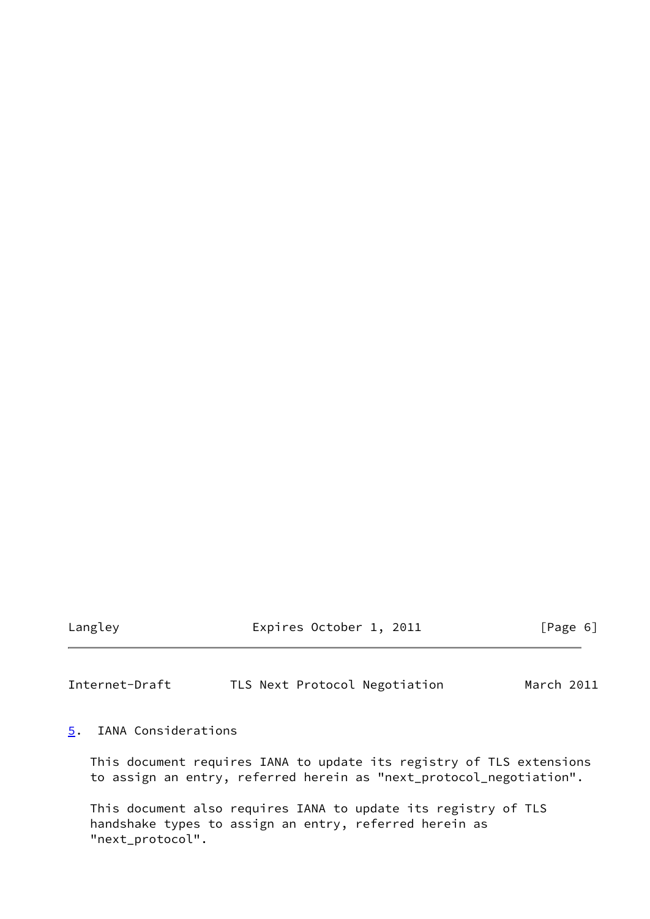Langley **Expires October 1, 2011** [Page 6]

<span id="page-6-1"></span>Internet-Draft TLS Next Protocol Negotiation March 2011

### <span id="page-6-0"></span>[5](#page-6-0). IANA Considerations

 This document requires IANA to update its registry of TLS extensions to assign an entry, referred herein as "next\_protocol\_negotiation".

 This document also requires IANA to update its registry of TLS handshake types to assign an entry, referred herein as "next\_protocol".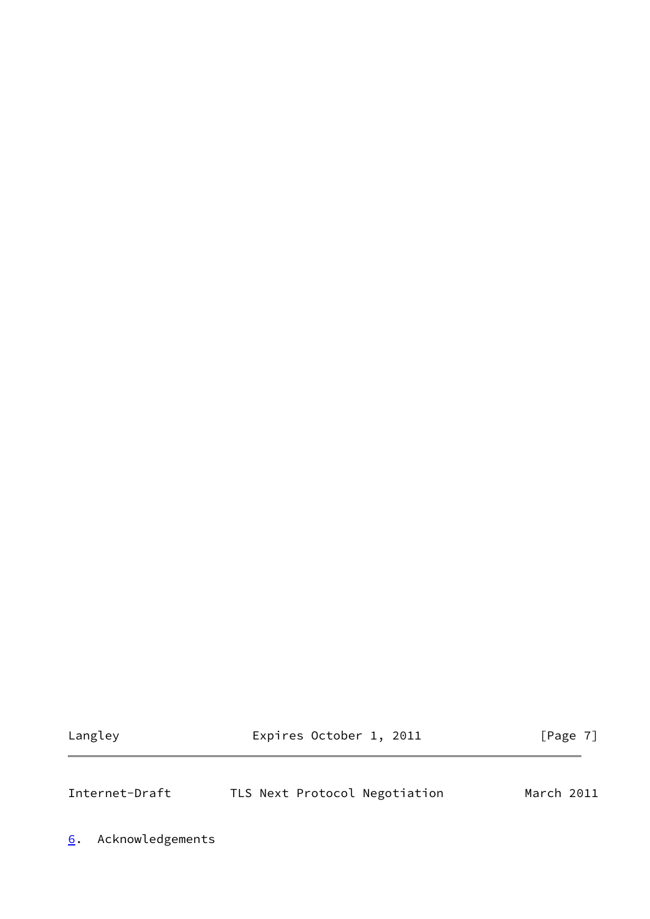Langley **Expires October 1, 2011** [Page 7]

<span id="page-7-1"></span>Internet-Draft TLS Next Protocol Negotiation March 2011

<span id="page-7-0"></span>[6](#page-7-0). Acknowledgements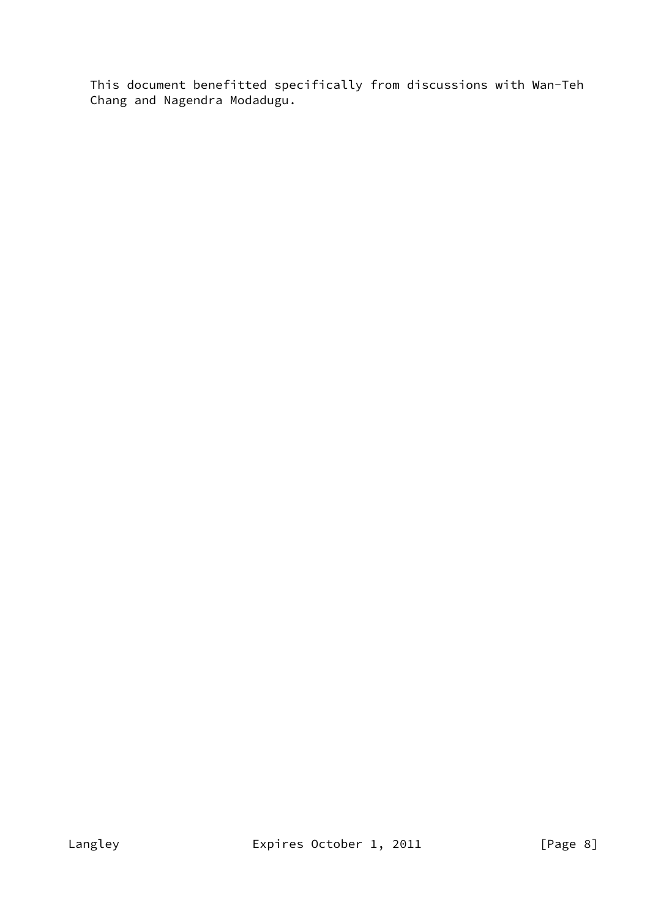This document benefitted specifically from discussions with Wan-Teh Chang and Nagendra Modadugu.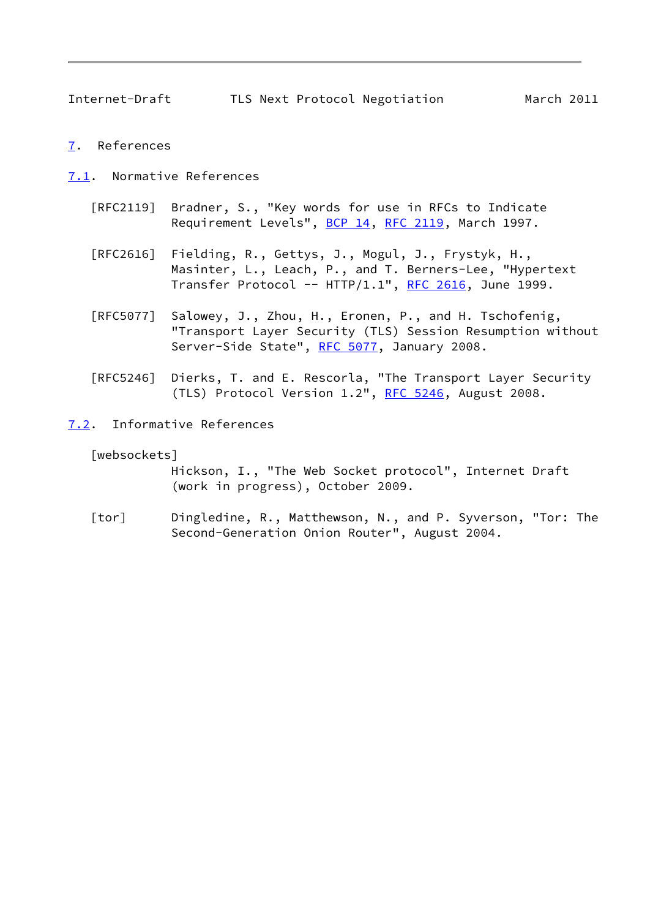<span id="page-9-1"></span>Internet-Draft TLS Next Protocol Negotiation March 2011

- <span id="page-9-0"></span>[7](#page-9-0). References
- <span id="page-9-2"></span>[7.1](#page-9-2). Normative References
	- [RFC2119] Bradner, S., "Key words for use in RFCs to Indicate Requirement Levels", [BCP 14](https://datatracker.ietf.org/doc/pdf/bcp14), [RFC 2119](https://datatracker.ietf.org/doc/pdf/rfc2119), March 1997.
	- [RFC2616] Fielding, R., Gettys, J., Mogul, J., Frystyk, H., Masinter, L., Leach, P., and T. Berners-Lee, "Hypertext Transfer Protocol --  $HTTP/1.1$ ", [RFC 2616,](https://datatracker.ietf.org/doc/pdf/rfc2616) June 1999.
	- [RFC5077] Salowey, J., Zhou, H., Eronen, P., and H. Tschofenig, "Transport Layer Security (TLS) Session Resumption without Server-Side State", [RFC 5077,](https://datatracker.ietf.org/doc/pdf/rfc5077) January 2008.
	- [RFC5246] Dierks, T. and E. Rescorla, "The Transport Layer Security (TLS) Protocol Version 1.2", [RFC 5246](https://datatracker.ietf.org/doc/pdf/rfc5246), August 2008.
- <span id="page-9-3"></span>[7.2](#page-9-3). Informative References

<span id="page-9-4"></span>[websockets]

 Hickson, I., "The Web Socket protocol", Internet Draft (work in progress), October 2009.

<span id="page-9-5"></span> [tor] Dingledine, R., Matthewson, N., and P. Syverson, "Tor: The Second-Generation Onion Router", August 2004.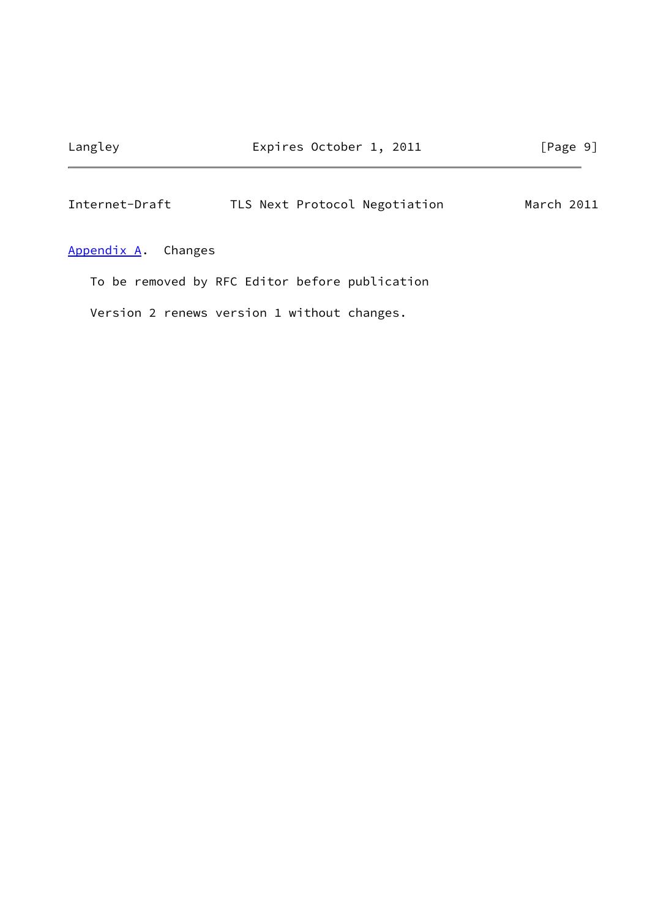## <span id="page-10-1"></span>Internet-Draft TLS Next Protocol Negotiation March 2011

<span id="page-10-0"></span>[Appendix A.](#page-10-0) Changes

To be removed by RFC Editor before publication

Version 2 renews version 1 without changes.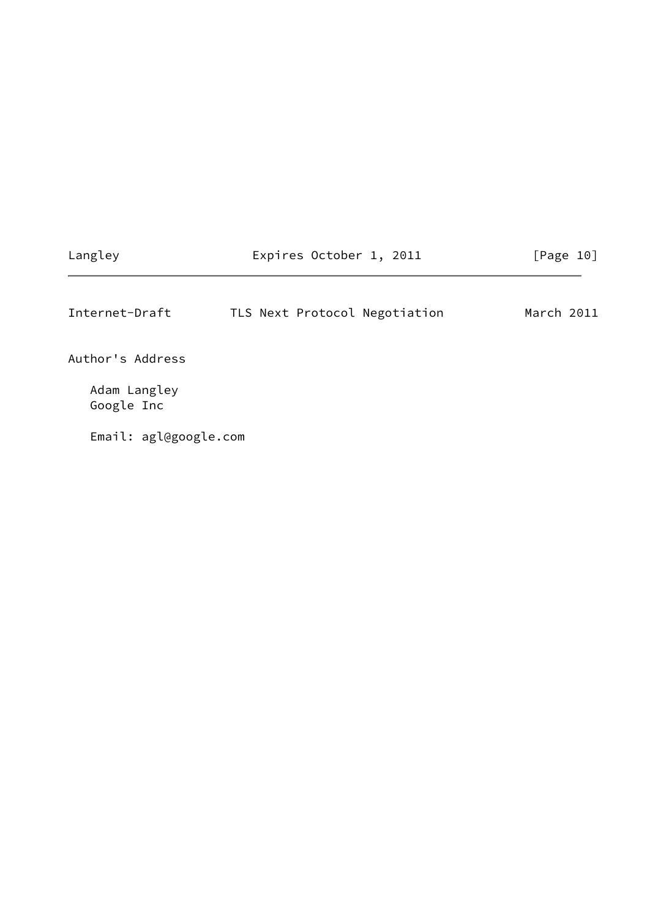# Langley **Expires October 1, 2011** [Page 10]

<span id="page-11-0"></span>Internet-Draft TLS Next Protocol Negotiation March 2011

Author's Address

 Adam Langley Google Inc

Email: agl@google.com